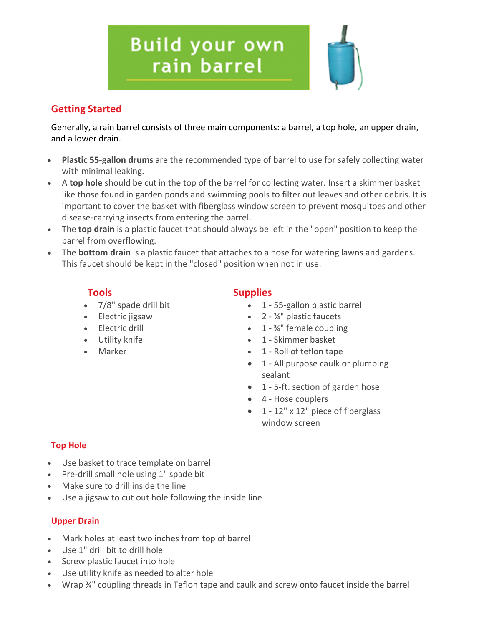# **Build your own** rain barrel

# **Getting Started**

Generally, a rain barrel consists of three main components: a barrel, a top hole, an upper drain, and a lower drain.

- **Plastic 55-gallon drums** are the recommended type of barrel to use for safely collecting water with minimal leaking.
- A **top hole** should be cut in the top of the barrel for collecting water. Insert a skimmer basket like those found in garden ponds and swimming pools to filter out leaves and other debris. It is important to cover the basket with fiberglass window screen to prevent mosquitoes and other disease-carrying insects from entering the barrel.
- The **top drain** is a plastic faucet that should always be left in the "open" position to keep the barrel from overflowing.
- The **bottom drain** is a plastic faucet that attaches to a hose for watering lawns and gardens. This faucet should be kept in the "closed" position when not in use.

- 
- 
- 
- 
- 

# **Tools Supplies**

- 7/8" spade drill bit 1 55-gallon plastic barrel
- Electric jigsaw 2 ¾" plastic faucets
- Electric drill 1 34" female coupling
- Utility knife **•** 1 Skimmer basket
- Marker 1 Roll of teflon tape
	- 1 All purpose caulk or plumbing sealant
	- 1 5-ft. section of garden hose
	- 4 Hose couplers
	- 1 12" x 12" piece of fiberglass window screen

## **Top Hole**

- Use basket to trace template on barrel
- Pre-drill small hole using 1" spade bit
- Make sure to drill inside the line
- Use a jigsaw to cut out hole following the inside line

### **Upper Drain**

- Mark holes at least two inches from top of barrel
- Use 1" drill bit to drill hole
- Screw plastic faucet into hole
- Use utility knife as needed to alter hole
- Wrap ¾" coupling threads in Teflon tape and caulk and screw onto faucet inside the barrel